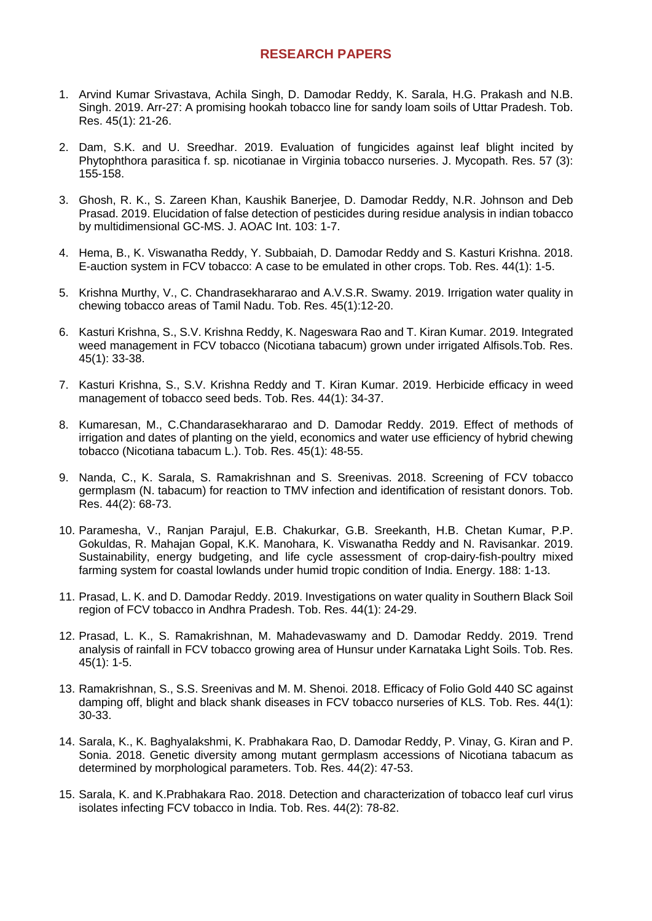## **RESEARCH PAPERS**

- 1. Arvind Kumar Srivastava, Achila Singh, D. Damodar Reddy, K. Sarala, H.G. Prakash and N.B. Singh. 2019. Arr-27: A promising hookah tobacco line for sandy loam soils of Uttar Pradesh. Tob. Res. 45(1): 21-26.
- 2. Dam, S.K. and U. Sreedhar. 2019. Evaluation of fungicides against leaf blight incited by Phytophthora parasitica f. sp. nicotianae in Virginia tobacco nurseries. J. Mycopath. Res. 57 (3): 155-158.
- 3. Ghosh, R. K., S. Zareen Khan, Kaushik Banerjee, D. Damodar Reddy, N.R. Johnson and Deb Prasad. 2019. Elucidation of false detection of pesticides during residue analysis in indian tobacco by multidimensional GC-MS. J. AOAC Int. 103: 1-7.
- 4. Hema, B., K. Viswanatha Reddy, Y. Subbaiah, D. Damodar Reddy and S. Kasturi Krishna. 2018. E-auction system in FCV tobacco: A case to be emulated in other crops. Tob. Res. 44(1): 1-5.
- 5. Krishna Murthy, V., C. Chandrasekhararao and A.V.S.R. Swamy. 2019. Irrigation water quality in chewing tobacco areas of Tamil Nadu. Tob. Res. 45(1):12-20.
- 6. Kasturi Krishna, S., S.V. Krishna Reddy, K. Nageswara Rao and T. Kiran Kumar. 2019. Integrated weed management in FCV tobacco (Nicotiana tabacum) grown under irrigated Alfisols.Tob. Res. 45(1): 33-38.
- 7. Kasturi Krishna, S., S.V. Krishna Reddy and T. Kiran Kumar. 2019. Herbicide efficacy in weed management of tobacco seed beds. Tob. Res. 44(1): 34-37.
- 8. Kumaresan, M., C.Chandarasekhararao and D. Damodar Reddy. 2019. Effect of methods of irrigation and dates of planting on the yield, economics and water use efficiency of hybrid chewing tobacco (Nicotiana tabacum L.). Tob. Res. 45(1): 48-55.
- 9. Nanda, C., K. Sarala, S. Ramakrishnan and S. Sreenivas. 2018. Screening of FCV tobacco germplasm (N. tabacum) for reaction to TMV infection and identification of resistant donors. Tob. Res. 44(2): 68-73.
- 10. Paramesha, V., Ranjan Parajul, E.B. Chakurkar, G.B. Sreekanth, H.B. Chetan Kumar, P.P. Gokuldas, R. Mahajan Gopal, K.K. Manohara, K. Viswanatha Reddy and N. Ravisankar. 2019. Sustainability, energy budgeting, and life cycle assessment of crop-dairy-fish-poultry mixed farming system for coastal lowlands under humid tropic condition of India. Energy. 188: 1-13.
- 11. Prasad, L. K. and D. Damodar Reddy. 2019. Investigations on water quality in Southern Black Soil region of FCV tobacco in Andhra Pradesh. Tob. Res. 44(1): 24-29.
- 12. Prasad, L. K., S. Ramakrishnan, M. Mahadevaswamy and D. Damodar Reddy. 2019. Trend analysis of rainfall in FCV tobacco growing area of Hunsur under Karnataka Light Soils. Tob. Res. 45(1): 1-5.
- 13. Ramakrishnan, S., S.S. Sreenivas and M. M. Shenoi. 2018. Efficacy of Folio Gold 440 SC against damping off, blight and black shank diseases in FCV tobacco nurseries of KLS. Tob. Res. 44(1): 30-33.
- 14. Sarala, K., K. Baghyalakshmi, K. Prabhakara Rao, D. Damodar Reddy, P. Vinay, G. Kiran and P. Sonia. 2018. Genetic diversity among mutant germplasm accessions of Nicotiana tabacum as determined by morphological parameters. Tob. Res. 44(2): 47-53.
- 15. Sarala, K. and K.Prabhakara Rao. 2018. Detection and characterization of tobacco leaf curl virus isolates infecting FCV tobacco in India. Tob. Res. 44(2): 78-82.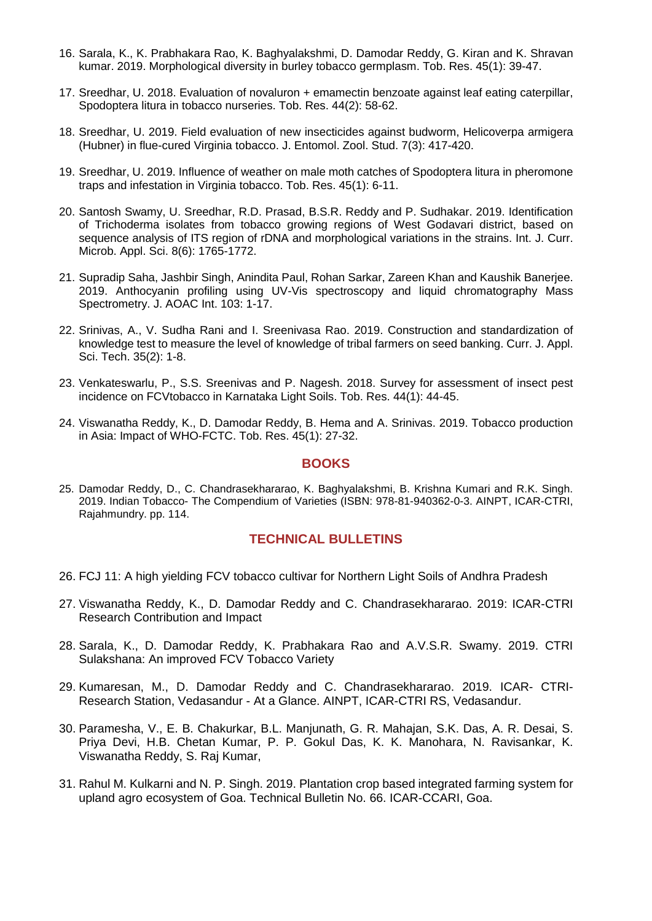- 16. Sarala, K., K. Prabhakara Rao, K. Baghyalakshmi, D. Damodar Reddy, G. Kiran and K. Shravan kumar. 2019. Morphological diversity in burley tobacco germplasm. Tob. Res. 45(1): 39-47.
- 17. Sreedhar, U. 2018. Evaluation of novaluron + emamectin benzoate against leaf eating caterpillar, Spodoptera litura in tobacco nurseries. Tob. Res. 44(2): 58-62.
- 18. Sreedhar, U. 2019. Field evaluation of new insecticides against budworm, Helicoverpa armigera (Hubner) in flue-cured Virginia tobacco. J. Entomol. Zool. Stud. 7(3): 417-420.
- 19. Sreedhar, U. 2019. Influence of weather on male moth catches of Spodoptera litura in pheromone traps and infestation in Virginia tobacco. Tob. Res. 45(1): 6-11.
- 20. Santosh Swamy, U. Sreedhar, R.D. Prasad, B.S.R. Reddy and P. Sudhakar. 2019. Identification of Trichoderma isolates from tobacco growing regions of West Godavari district, based on sequence analysis of ITS region of rDNA and morphological variations in the strains. Int. J. Curr. Microb. Appl. Sci. 8(6): 1765-1772.
- 21. Supradip Saha, Jashbir Singh, Anindita Paul, Rohan Sarkar, Zareen Khan and Kaushik Banerjee. 2019. Anthocyanin profiling using UV-Vis spectroscopy and liquid chromatography Mass Spectrometry. J. AOAC Int. 103: 1-17.
- 22. Srinivas, A., V. Sudha Rani and I. Sreenivasa Rao. 2019. Construction and standardization of knowledge test to measure the level of knowledge of tribal farmers on seed banking. Curr. J. Appl. Sci. Tech. 35(2): 1-8.
- 23. Venkateswarlu, P., S.S. Sreenivas and P. Nagesh. 2018. Survey for assessment of insect pest incidence on FCVtobacco in Karnataka Light Soils. Tob. Res. 44(1): 44-45.
- 24. Viswanatha Reddy, K., D. Damodar Reddy, B. Hema and A. Srinivas. 2019. Tobacco production in Asia: Impact of WHO-FCTC. Tob. Res. 45(1): 27-32.

## **BOOKS**

25. Damodar Reddy, D., C. Chandrasekhararao, K. Baghyalakshmi, B. Krishna Kumari and R.K. Singh. 2019. Indian Tobacco- The Compendium of Varieties (ISBN: 978-81-940362-0-3. AINPT, ICAR-CTRI, Rajahmundry. pp. 114.

## **[TECHNICAL](https://ctri.icar.gov.in/files/indian.pdf) BULLETINS**

- 26. FCJ 11: A high yielding FCV tobacco cultivar for Northern Light Soils of Andhra Pradesh
- 27. Viswanatha Reddy, K., D. Damodar Reddy and C. Chandrasekhararao. 2019: ICAR-CTRI Research Contribution and Impact
- 28. Sarala, K., D. Damodar Reddy, K. Prabhakara Rao and A.V.S.R. Swamy. 2019. CTRI Sulakshana: An improved FCV Tobacco Variety
- 29. Kumaresan, M., D. Damodar Reddy and C. Chandrasekhararao. 2019. ICAR- CTRI-Research Station, Vedasandur - At a Glance. AINPT, ICAR-CTRI RS, Vedasandur.
- 30. Paramesha, V., E. B. Chakurkar, B.L. Manjunath, G. R. Mahajan, S.K. Das, A. R. Desai, S. Priya Devi, H.B. Chetan Kumar, P. P. Gokul Das, K. K. Manohara, N. Ravisankar, K. Viswanatha Reddy, S. Raj Kumar,
- 31. Rahul M. Kulkarni and N. P. Singh. 2019. Plantation crop based integrated farming system for upland agro ecosystem of Goa. Technical Bulletin No. 66. ICAR-CCARI, Goa.